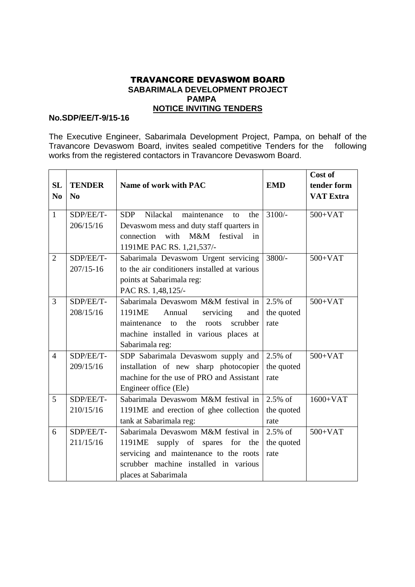## TRAVANCORE DEVASWOM BOARD  **SABARIMALA DEVELOPMENT PROJECT PAMPA NOTICE INVITING TENDERS**

## **No.SDP/EE/T-9/15-16**

The Executive Engineer, Sabarimala Development Project, Pampa, on behalf of the Travancore Devaswom Board, invites sealed competitive Tenders for the following works from the registered contactors in Travancore Devaswom Board.

|                |               |                                                    |            | Cost of          |
|----------------|---------------|----------------------------------------------------|------------|------------------|
| <b>SL</b>      | <b>TENDER</b> | Name of work with PAC                              | <b>EMD</b> | tender form      |
| No             | No            |                                                    |            | <b>VAT Extra</b> |
|                |               |                                                    |            |                  |
| $\mathbf{1}$   | SDP/EE/T-     | maintenance<br>Nilackal<br><b>SDP</b><br>the<br>to | $3100/-$   | $500+VAT$        |
|                | 206/15/16     | Devaswom mess and duty staff quarters in           |            |                  |
|                |               | connection<br>with<br>M&M festival<br>in           |            |                  |
|                |               | 1191ME PAC RS. 1,21,537/-                          |            |                  |
| 2              | SDP/EE/T-     | Sabarimala Devaswom Urgent servicing               | $3800/-$   | $500+VAT$        |
|                | $207/15 - 16$ | to the air conditioners installed at various       |            |                  |
|                |               | points at Sabarimala reg:                          |            |                  |
|                |               | PAC RS. 1,48,125/-                                 |            |                  |
| $\overline{3}$ | SDP/EE/T-     | Sabarimala Devaswom M&M festival in                | $2.5\%$ of | $500+VAT$        |
|                | 208/15/16     | 1191ME<br>Annual<br>servicing<br>and               | the quoted |                  |
|                |               | the<br>scrubber<br>to<br>roots<br>maintenance      | rate       |                  |
|                |               | machine installed in various places at             |            |                  |
|                |               | Sabarimala reg:                                    |            |                  |
| $\overline{4}$ | SDP/EE/T-     | SDP Sabarimala Devaswom supply and                 | $2.5\%$ of | $500+VAT$        |
|                | 209/15/16     | installation of new sharp photocopier              | the quoted |                  |
|                |               | machine for the use of PRO and Assistant           | rate       |                  |
|                |               | Engineer office (Ele)                              |            |                  |
| 5              | SDP/EE/T-     | Sabarimala Devaswom M&M festival in                | $2.5\%$ of | $1600+VAT$       |
|                | 210/15/16     | 1191ME and erection of ghee collection             | the quoted |                  |
|                |               | tank at Sabarimala reg:                            | rate       |                  |
| 6              | SDP/EE/T-     | Sabarimala Devaswom M&M festival in                | $2.5\%$ of | $500+VAT$        |
|                | 211/15/16     | supply of spares for the<br>1191ME                 | the quoted |                  |
|                |               | servicing and maintenance to the roots             | rate       |                  |
|                |               | scrubber machine installed in various              |            |                  |
|                |               | places at Sabarimala                               |            |                  |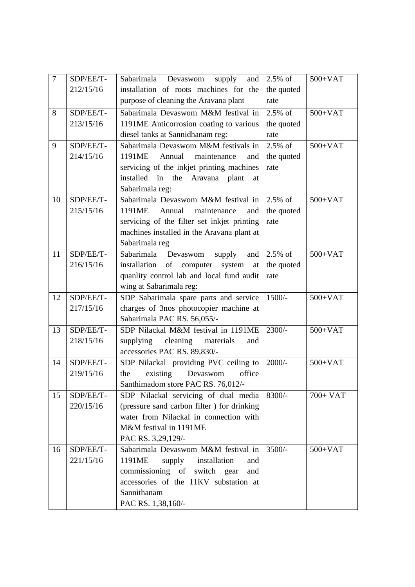| $\overline{7}$ | SDP/EE/T- | Sabarimala Devaswom supply                  | and $\vert$ 2.5% of     | $500+VAT$ |  |  |
|----------------|-----------|---------------------------------------------|-------------------------|-----------|--|--|
|                | 212/15/16 | installation of roots machines for the      | the quoted              |           |  |  |
|                |           | purpose of cleaning the Aravana plant       | rate                    |           |  |  |
| 8              | SDP/EE/T- | Sabarimala Devaswom M&M festival in         | $2.5\%$ of<br>$500+VAT$ |           |  |  |
|                | 213/15/16 | 1191ME Anticorrosion coating to various     | the quoted              |           |  |  |
|                |           | diesel tanks at Sannidhanam reg:            | rate                    |           |  |  |
| 9              | SDP/EE/T- | Sabarimala Devaswom M&M festivals in        | $2.5\%$ of              | $500+VAT$ |  |  |
|                | 214/15/16 | Annual<br>1191ME<br>maintenance<br>and      | the quoted              |           |  |  |
|                |           | servicing of the inkjet printing machines   | rate                    |           |  |  |
|                |           | installed in the Aravana plant<br>at        |                         |           |  |  |
|                |           | Sabarimala reg:                             |                         |           |  |  |
| 10             | SDP/EE/T- | Sabarimala Devaswom M&M festival in 2.5% of |                         | $500+VAT$ |  |  |
|                | 215/15/16 | 1191ME<br>Annual maintenance<br>and         | the quoted              |           |  |  |
|                |           | servicing of the filter set inkjet printing | rate                    |           |  |  |
|                |           | machines installed in the Aravana plant at  |                         |           |  |  |
|                |           | Sabarimala reg                              |                         |           |  |  |
| 11             | SDP/EE/T- | Sabarimala<br>Devaswom<br>supply            | and $\vert$ 2.5% of     | $500+VAT$ |  |  |
|                | 216/15/16 | installation of computer<br>system<br>at    | the quoted              |           |  |  |
|                |           | quanlity control lab and local fund audit   | rate                    |           |  |  |
|                |           | wing at Sabarimala reg:                     |                         |           |  |  |
| 12             | SDP/EE/T- | SDP Sabarimala spare parts and service      | $1500/-$                | $500+VAT$ |  |  |
|                | 217/15/16 | charges of 3nos photocopier machine at      |                         |           |  |  |
|                |           | Sabarimala PAC RS. 56,055/-                 |                         |           |  |  |
| 13             | SDP/EE/T- | SDP Nilackal M&M festival in 1191ME         | $2300/-$                | $500+VAT$ |  |  |
|                | 218/15/16 | supplying<br>cleaning<br>materials<br>and   |                         |           |  |  |
|                |           | accessories PAC RS. 89,830/-                |                         |           |  |  |
| 14             | SDP/EE/T- | SDP Nilackal providing PVC ceiling to       | $2000/-$                | $500+VAT$ |  |  |
|                | 219/15/16 | Devaswom<br>existing<br>office<br>the       |                         |           |  |  |
|                |           | Santhimadom store PAC RS. 76,012/-          |                         |           |  |  |
| 15             | SDP/EE/T- | SDP Nilackal servicing of dual media        | $8300/-$                | $700+VAT$ |  |  |
|                | 220/15/16 | (pressure sand carbon filter) for drinking  |                         |           |  |  |
|                |           | water from Nilackal in connection with      |                         |           |  |  |
|                |           | M&M festival in 1191ME                      |                         |           |  |  |
|                |           | PAC RS. 3,29,129/-                          |                         |           |  |  |
| 16             | SDP/EE/T- | Sabarimala Devaswom M&M festival in         | $3500/-$                | $500+VAT$ |  |  |
|                | 221/15/16 | 1191ME<br>supply<br>installation<br>and     |                         |           |  |  |
|                |           | commissioning of switch<br>gear<br>and      |                         |           |  |  |
|                |           | accessories of the 11KV substation at       |                         |           |  |  |
|                |           | Sannithanam                                 |                         |           |  |  |
|                |           | PAC RS. 1,38,160/-                          |                         |           |  |  |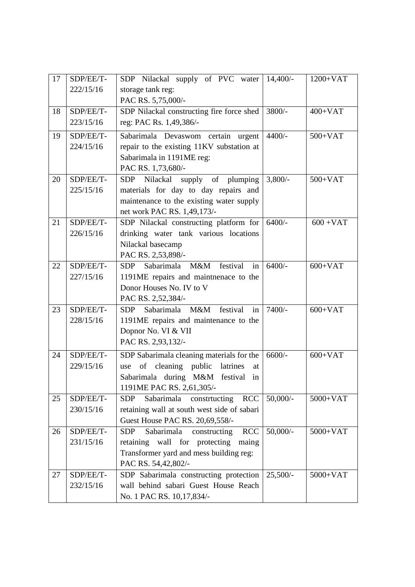| 17 | SDP/EE/T- | SDP Nilackal supply of PVC water 14,400/-               |            | $1200+VAT$  |
|----|-----------|---------------------------------------------------------|------------|-------------|
|    | 222/15/16 | storage tank reg:                                       |            |             |
|    |           | PAC RS. 5,75,000/-                                      |            |             |
| 18 | SDP/EE/T- | SDP Nilackal constructing fire force shed               | 3800/-     | $400+VAT$   |
|    | 223/15/16 | reg: PAC Rs. 1,49,386/-                                 |            |             |
| 19 | SDP/EE/T- | Sabarimala Devaswom certain urgent                      | $4400/-$   | $500+VAT$   |
|    | 224/15/16 | repair to the existing 11KV substation at               |            |             |
|    |           | Sabarimala in 1191ME reg:                               |            |             |
|    |           | PAC RS. 1,73,680/-                                      |            |             |
| 20 | SDP/EE/T- | SDP Nilackal supply of plumping                         | $3,800/-$  | $500+VAT$   |
|    | 225/15/16 | materials for day to day repairs and                    |            |             |
|    |           | maintenance to the existing water supply                |            |             |
|    |           | net work PAC RS. 1,49,173/-                             |            |             |
| 21 | SDP/EE/T- | SDP Nilackal constructing platform for                  | $6400/-$   | $600 + VAT$ |
|    | 226/15/16 | drinking water tank various locations                   |            |             |
|    |           | Nilackal basecamp                                       |            |             |
|    |           | PAC RS. 2,53,898/-                                      |            |             |
| 22 | SDP/EE/T- | Sabarimala M&M festival<br>in<br>SDP                    | $6400/-$   | $600+VAT$   |
|    | 227/15/16 | 1191ME repairs and maintnenace to the                   |            |             |
|    |           | Donor Houses No. IV to V                                |            |             |
|    |           | PAC RS. 2,52,384/-                                      |            |             |
| 23 | SDP/EE/T- | Sabarimala M&M festival<br><b>SDP</b><br>in             | 7400/-     | $600+VAT$   |
|    | 228/15/16 | 1191ME repairs and maintenance to the                   |            |             |
|    |           | Dopnor No. VI & VII                                     |            |             |
|    |           | PAC RS. 2,93,132/-                                      |            |             |
| 24 | SDP/EE/T- | SDP Sabarimala cleaning materials for the               | $6600/-$   | $600+VAT$   |
|    | 229/15/16 | cleaning<br>public<br>latrines<br>of<br>use<br>at       |            |             |
|    |           | Sabarimala during M&M festival<br>in                    |            |             |
|    |           | 1191ME PAC RS. 2,61,305/-                               |            |             |
| 25 | SDP/EE/T- | Sabarimala<br><b>RCC</b><br>constrtucting<br><b>SDP</b> | $50,000/-$ | $5000+VAT$  |
|    | 230/15/16 | retaining wall at south west side of sabari             |            |             |
|    |           | Guest House PAC RS. 20,69,558/-                         |            |             |
| 26 | SDP/EE/T- | <b>RCC</b><br>Sabarimala<br><b>SDP</b><br>constructing  | $50,000/-$ | $5000+VAT$  |
|    | 231/15/16 | wall for protecting<br>maing<br>retaining               |            |             |
|    |           | Transformer yard and mess building reg:                 |            |             |
|    |           | PAC RS. 54,42,802/-                                     |            |             |
| 27 | SDP/EE/T- | SDP Sabarimala constructing protection                  | $25,500/-$ | $5000+VAT$  |
|    | 232/15/16 | wall behind sabari Guest House Reach                    |            |             |
|    |           | No. 1 PAC RS. 10,17,834/-                               |            |             |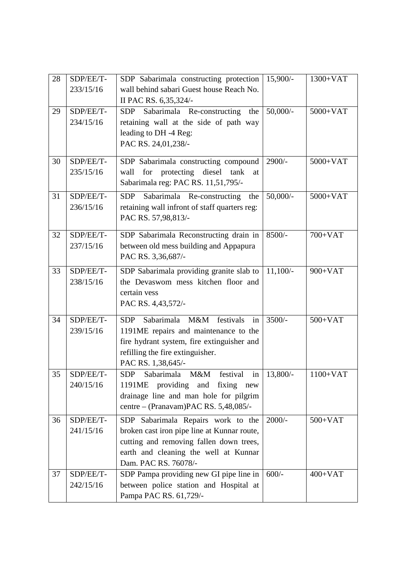| 28 | SDP/EE/T- | SDP Sabarimala constructing protection   15,900/-                               |                           | $1300+VAT$ |  |
|----|-----------|---------------------------------------------------------------------------------|---------------------------|------------|--|
|    | 233/15/16 | wall behind sabari Guest house Reach No.                                        |                           |            |  |
|    |           | II PAC RS. 6,35,324/-                                                           |                           |            |  |
| 29 | SDP/EE/T- | Sabarimala Re-constructing<br>SDP<br>the                                        | $50,000/$ -               | $5000+VAT$ |  |
|    | 234/15/16 | retaining wall at the side of path way                                          |                           |            |  |
|    |           | leading to DH -4 Reg:                                                           |                           |            |  |
|    |           | PAC RS. 24,01,238/-                                                             |                           |            |  |
|    |           |                                                                                 |                           |            |  |
| 30 | SDP/EE/T- | SDP Sabarimala constructing compound                                            | 2900/-                    | $5000+VAT$ |  |
|    | 235/15/16 | for protecting diesel tank<br>wall<br>at                                        |                           |            |  |
|    |           | Sabarimala reg: PAC RS. 11,51,795/-                                             |                           |            |  |
| 31 | SDP/EE/T- | Sabarimala Re-constructing<br><b>SDP</b><br>the                                 | $50,000/$ -<br>$5000+VAT$ |            |  |
|    | 236/15/16 | retaining wall infront of staff quarters reg:                                   |                           |            |  |
|    |           | PAC RS. 57,98,813/-                                                             |                           |            |  |
| 32 | SDP/EE/T- | SDP Sabarimala Reconstructing drain in                                          | $8500/-$                  | $700+VAT$  |  |
|    | 237/15/16 | between old mess building and Appapura                                          |                           |            |  |
|    |           | PAC RS. 3,36,687/-                                                              |                           |            |  |
| 33 | SDP/EE/T- |                                                                                 | $11,100/-$                | $900+VAT$  |  |
|    | 238/15/16 | SDP Sabarimala providing granite slab to<br>the Devaswom mess kitchen floor and |                           |            |  |
|    |           | certain vess                                                                    |                           |            |  |
|    |           |                                                                                 |                           |            |  |
|    |           | PAC RS. 4,43,572/-                                                              |                           |            |  |
| 34 | SDP/EE/T- | M&M festivals<br>Sabarimala<br><b>SDP</b><br>in                                 | $3500/-$                  | $500+VAT$  |  |
|    | 239/15/16 | 1191ME repairs and maintenance to the                                           |                           |            |  |
|    |           | fire hydrant system, fire extinguisher and                                      |                           |            |  |
|    |           | refilling the fire extinguisher.                                                |                           |            |  |
|    |           | PAC RS. 1,38,645/-                                                              |                           |            |  |
| 35 | SDP/EE/T- | Sabarimala<br>M&M<br><b>SDP</b><br>festival<br>in                               | $13,800/-$                | $1100+VAT$ |  |
|    | 240/15/16 | 1191ME providing and fixing new                                                 |                           |            |  |
|    |           | drainage line and man hole for pilgrim                                          |                           |            |  |
|    |           | centre - (Pranavam)PAC RS. 5,48,085/-                                           |                           |            |  |
| 36 | SDP/EE/T- | SDP Sabarimala Repairs work to the                                              | $2000/-$                  | $500+VAT$  |  |
|    | 241/15/16 | broken cast iron pipe line at Kunnar route,                                     |                           |            |  |
|    |           | cutting and removing fallen down trees,                                         |                           |            |  |
|    |           | earth and cleaning the well at Kunnar                                           |                           |            |  |
|    |           | Dam. PAC RS. 76078/-                                                            |                           |            |  |
| 37 | SDP/EE/T- | SDP Pampa providing new GI pipe line in                                         | $600/-$                   | $400+VAT$  |  |
|    | 242/15/16 | between police station and Hospital at                                          |                           |            |  |
|    |           | Pampa PAC RS. 61,729/-                                                          |                           |            |  |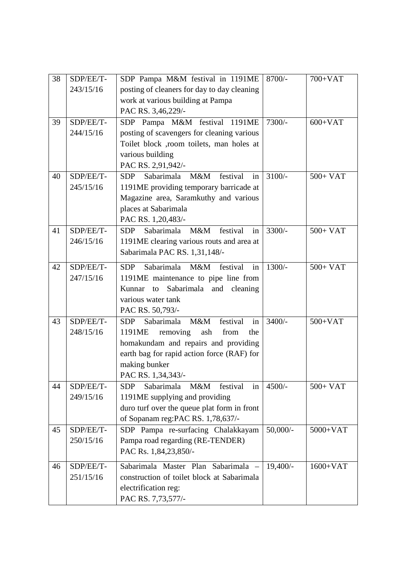| 38 | SDP/EE/T- | SDP Pampa M&M festival in 1191ME                  | $8700/-$   | $700+VAT$  |
|----|-----------|---------------------------------------------------|------------|------------|
|    | 243/15/16 | posting of cleaners for day to day cleaning       |            |            |
|    |           | work at various building at Pampa                 |            |            |
|    |           | PAC RS. 3,46,229/-                                |            |            |
| 39 | SDP/EE/T- | SDP Pampa M&M festival 1191ME                     | $7300/-$   | $600+VAT$  |
|    | 244/15/16 | posting of scavengers for cleaning various        |            |            |
|    |           | Toilet block ,room toilets, man holes at          |            |            |
|    |           | various building                                  |            |            |
|    |           | PAC RS. 2,91,942/-                                |            |            |
| 40 | SDP/EE/T- | Sabarimala M&M<br>festival<br><b>SDP</b><br>in    | $3100/-$   | $500+VAT$  |
|    | 245/15/16 | 1191ME providing temporary barricade at           |            |            |
|    |           | Magazine area, Saramkuthy and various             |            |            |
|    |           | places at Sabarimala                              |            |            |
|    |           | PAC RS. 1,20,483/-                                |            |            |
| 41 | SDP/EE/T- | Sabarimala<br>M&M<br><b>SDP</b><br>festival<br>in | $3300/-$   | 500+ VAT   |
|    | 246/15/16 | 1191ME clearing various routs and area at         |            |            |
|    |           | Sabarimala PAC RS. 1,31,148/-                     |            |            |
| 42 | SDP/EE/T- | Sabarimala<br>M&M festival in<br><b>SDP</b>       | $1300/-$   | $500+VAT$  |
|    | 247/15/16 | 1191ME maintenance to pipe line from              |            |            |
|    |           | Sabarimala and cleaning<br>Kunnar to              |            |            |
|    |           | various water tank                                |            |            |
|    |           | PAC RS. 50,793/-                                  |            |            |
| 43 | SDP/EE/T- | Sabarimala<br>M&M<br>festival<br><b>SDP</b><br>in | $3400/-$   | $500+VAT$  |
|    | 248/15/16 | 1191ME<br>removing<br>from<br>ash<br>the          |            |            |
|    |           | homakundam and repairs and providing              |            |            |
|    |           | earth bag for rapid action force (RAF) for        |            |            |
|    |           | making bunker                                     |            |            |
|    |           | PAC RS. 1,34,343/-                                |            |            |
| 44 | SDP/EE/T- | M&M festival in<br>SDP Sabarimala                 | $4500/-$   | $500+VAT$  |
|    | 249/15/16 | 1191ME supplying and providing                    |            |            |
|    |           | duro turf over the queue plat form in front       |            |            |
|    |           | of Sopanam reg: PAC RS. 1,78,637/-                |            |            |
| 45 | SDP/EE/T- | SDP Pampa re-surfacing Chalakkayam                | $50,000/-$ | $5000+VAT$ |
|    | 250/15/16 | Pampa road regarding (RE-TENDER)                  |            |            |
|    |           | PAC Rs. 1,84,23,850/-                             |            |            |
| 46 | SDP/EE/T- | Sabarimala Master Plan Sabarimala -               | 19,400/-   | $1600+VAT$ |
|    | 251/15/16 | construction of toilet block at Sabarimala        |            |            |
|    |           | electrification reg:                              |            |            |
|    |           | PAC RS. 7,73,577/-                                |            |            |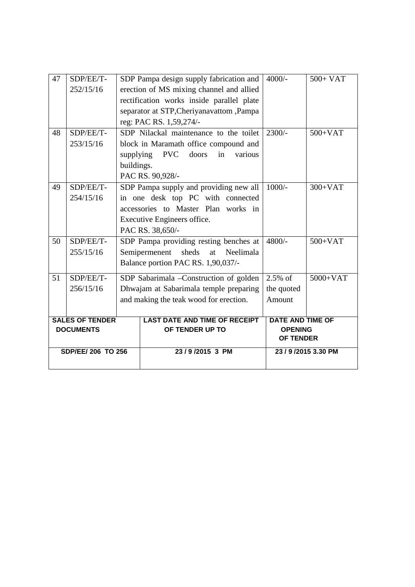| SDP/EE/ 206 TO 256                         |                        |            | 23/9/2015 3 PM                                                                   | <b>OF TENDER</b>                          | 23 / 9 / 2015 3.30 PM |
|--------------------------------------------|------------------------|------------|----------------------------------------------------------------------------------|-------------------------------------------|-----------------------|
| <b>SALES OF TENDER</b><br><b>DOCUMENTS</b> |                        |            | <b>LAST DATE AND TIME OF RECEIPT</b><br>OF TENDER UP TO                          | <b>DATE AND TIME OF</b><br><b>OPENING</b> |                       |
|                                            |                        |            |                                                                                  | Amount                                    |                       |
|                                            | 256/15/16              |            | Dhwajam at Sabarimala temple preparing<br>and making the teak wood for erection. |                                           |                       |
| 51                                         | SDP/EE/T-              |            | SDP Sabarimala - Construction of golden                                          |                                           | $5000+VAT$            |
|                                            |                        |            | Balance portion PAC RS. 1,90,037/-                                               | $2.5\%$ of                                |                       |
|                                            | 255/15/16              |            | sheds<br>Semipermenent<br>at<br>Neelimala                                        |                                           |                       |
| 50                                         | SDP/EE/T-              |            | SDP Pampa providing resting benches at                                           | 4800/-                                    | $500+VAT$             |
|                                            |                        |            | PAC RS. 38,650/-                                                                 |                                           |                       |
|                                            |                        |            | Executive Engineers office.                                                      |                                           |                       |
|                                            |                        |            | accessories to Master Plan works in                                              |                                           |                       |
|                                            | 254/15/16              |            | in one desk top PC with connected                                                |                                           |                       |
| 49                                         | SDP/EE/T-              |            | SDP Pampa supply and providing new all                                           | $1000/-$                                  | $300+VAT$             |
|                                            |                        |            | PAC RS. 90,928/-                                                                 |                                           |                       |
|                                            |                        | buildings. |                                                                                  |                                           |                       |
|                                            |                        | supplying  | <b>PVC</b><br>doors<br>in<br>various                                             |                                           |                       |
| 48                                         | SDP/EE/T-<br>253/15/16 |            | SDP Nilackal maintenance to the toilet<br>block in Maramath office compound and  | $2300/-$                                  | $500+VAT$             |
|                                            |                        |            | reg: PAC RS. 1,59,274/-                                                          |                                           |                       |
|                                            |                        |            | separator at STP, Cheriyanavattom, Pampa                                         |                                           |                       |
|                                            |                        |            | rectification works inside parallel plate                                        |                                           |                       |
|                                            | 252/15/16              |            | erection of MS mixing channel and allied                                         |                                           |                       |
| 47<br>SDP/EE/T-                            |                        |            | SDP Pampa design supply fabrication and                                          | $4000/-$                                  | $500+VAT$             |